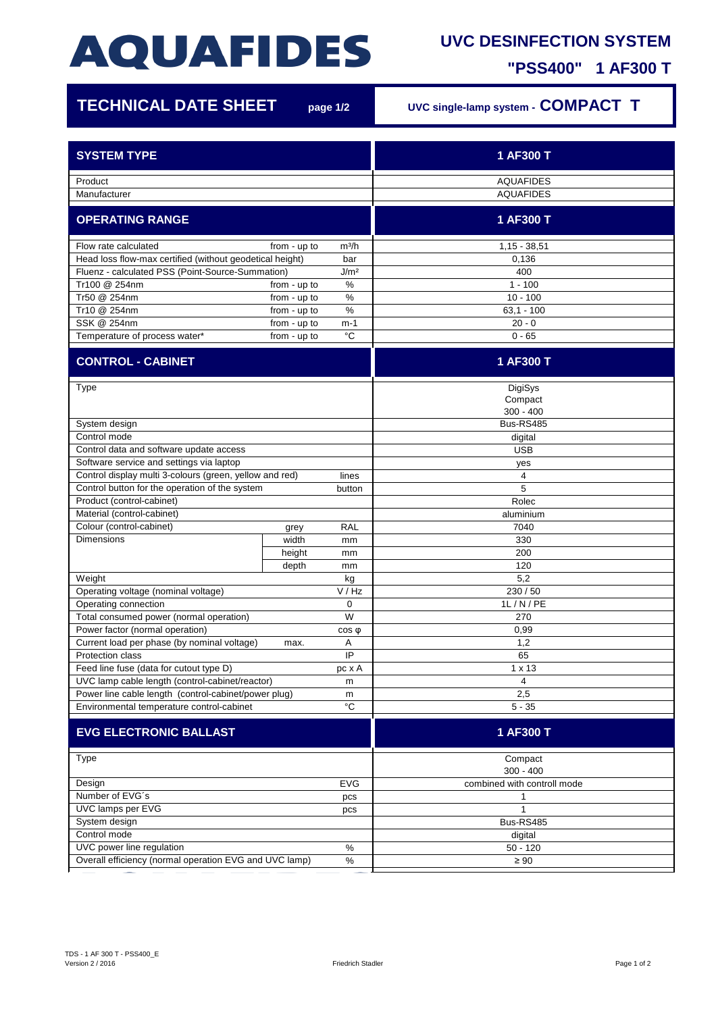## **AQUAFIDES**

## **UVC DESINFECTION SYSTEM**

**"PSS400" 1 AF300 T**

| <b>TECHNICAL DATE SHEET</b>                                                                                           |                              | page 1/2           | UVC single-lamp system - COMPACT T   |
|-----------------------------------------------------------------------------------------------------------------------|------------------------------|--------------------|--------------------------------------|
| <b>SYSTEM TYPE</b>                                                                                                    |                              |                    | 1 AF300 T                            |
|                                                                                                                       |                              |                    |                                      |
| Product                                                                                                               |                              |                    | <b>AQUAFIDES</b><br><b>AQUAFIDES</b> |
| Manufacturer                                                                                                          |                              |                    |                                      |
| <b>OPERATING RANGE</b>                                                                                                |                              |                    | 1 AF300 T                            |
| Flow rate calculated                                                                                                  | from - up to                 | m <sup>3</sup> /h  | $1,15 - 38,51$                       |
| Head loss flow-max certified (without geodetical height)<br>bar                                                       |                              |                    | 0,136                                |
| J/m <sup>2</sup><br>Fluenz - calculated PSS (Point-Source-Summation)                                                  |                              |                    | 400                                  |
| Tr100 @ 254nm                                                                                                         | from - up to                 | $\%$               | $1 - 100$                            |
| Tr50 @ 254nm                                                                                                          | from - up to                 | %                  | $10 - 100$                           |
| Tr10 @ 254nm                                                                                                          | from - up to                 | %                  | $63,1 - 100$                         |
| SSK @ 254nm<br>Temperature of process water*                                                                          | from - up to<br>from - up to | m-1<br>$^{\circ}C$ | $20 - 0$<br>$0 - 65$                 |
| <b>CONTROL - CABINET</b>                                                                                              |                              |                    | 1 AF300 T                            |
|                                                                                                                       |                              |                    |                                      |
| <b>Type</b>                                                                                                           |                              |                    | DigiSys                              |
|                                                                                                                       |                              |                    | Compact                              |
|                                                                                                                       |                              |                    | $300 - 400$                          |
| System design                                                                                                         |                              |                    | Bus-RS485                            |
| Control mode                                                                                                          |                              |                    | digital                              |
| Control data and software update access                                                                               |                              |                    | <b>USB</b>                           |
| Software service and settings via laptop                                                                              |                              |                    | yes                                  |
| Control display multi 3-colours (green, yellow and red)<br>Control button for the operation of the system             |                              | lines              | 4                                    |
| Product (control-cabinet)                                                                                             |                              | button             | 5<br>Rolec                           |
| Material (control-cabinet)                                                                                            |                              |                    | aluminium                            |
| Colour (control-cabinet)                                                                                              | grey                         | <b>RAL</b>         | 7040                                 |
| <b>Dimensions</b>                                                                                                     | width                        | mm                 | 330                                  |
|                                                                                                                       | height                       | mm                 | 200                                  |
|                                                                                                                       | depth                        | mm                 | 120                                  |
| Weight                                                                                                                |                              | kg                 | 5,2                                  |
| Operating voltage (nominal voltage)                                                                                   |                              | V / Hz             | 230/50                               |
| Operating connection                                                                                                  |                              | 0                  | 1L/N/PE                              |
| Total consumed power (normal operation)                                                                               |                              | W                  | 270                                  |
| Power factor (normal operation)                                                                                       |                              | $cos \phi$         | 0,99                                 |
| Current load per phase (by nominal voltage)                                                                           | max.                         | Α                  | 1,2                                  |
| Protection class                                                                                                      |                              | IP                 | 65                                   |
| Feed line fuse (data for cutout type D)                                                                               |                              | pc x A             | $1 \times 13$                        |
| UVC lamp cable length (control-cabinet/reactor)<br>m                                                                  |                              |                    | 4                                    |
| Power line cable length (control-cabinet/power plug)<br>m<br>$^{\circ}C$<br>Environmental temperature control-cabinet |                              |                    | 2,5<br>$5 - 35$                      |
|                                                                                                                       |                              |                    |                                      |
| <b>EVG ELECTRONIC BALLAST</b>                                                                                         |                              |                    | 1 AF300 T                            |
| Type                                                                                                                  |                              |                    | Compact<br>$300 - 400$               |
| Design<br>EVG                                                                                                         |                              |                    | combined with controll mode          |
| Number of EVG's<br>pcs                                                                                                |                              |                    | 1                                    |
| UVC lamps per EVG<br>pcs                                                                                              |                              |                    | $\mathbf 1$                          |
| System design                                                                                                         |                              |                    | <b>Bus-RS485</b>                     |
| Control mode                                                                                                          |                              |                    | digital                              |
| UVC power line regulation<br>$\%$                                                                                     |                              |                    | $50 - 120$                           |
| Overall efficiency (normal operation EVG and UVC lamp)<br>$\%$                                                        |                              |                    | $\geq 90$                            |